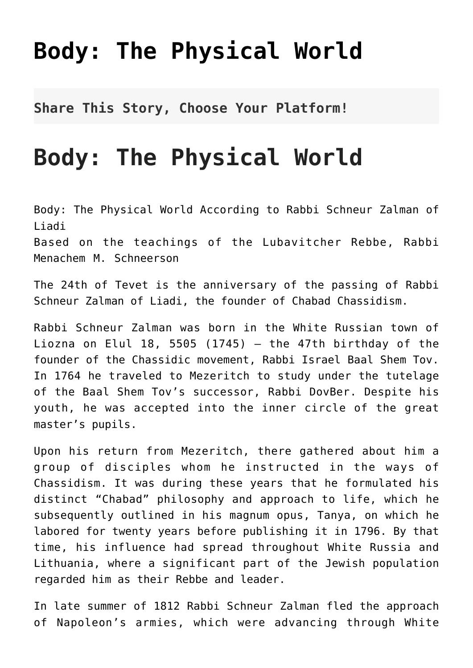## **[Body: The Physical World](http://noahide.org/body-the-physical-world/)**

**Share This Story, Choose Your Platform!**

## **Body: The Physical World**

Body: The Physical World According to Rabbi Schneur Zalman of Liadi Based on the teachings of the Lubavitcher Rebbe, Rabbi Menachem M. Schneerson

The 24th of Tevet is the anniversary of the passing of Rabbi Schneur Zalman of Liadi, the founder of Chabad Chassidism.

Rabbi Schneur Zalman was born in the White Russian town of Liozna on Elul 18, 5505 (1745)  $-$  the 47th birthday of the founder of the Chassidic movement, Rabbi Israel Baal Shem Tov. In 1764 he traveled to Mezeritch to study under the tutelage of the Baal Shem Tov's successor, Rabbi DovBer. Despite his youth, he was accepted into the inner circle of the great master's pupils.

Upon his return from Mezeritch, there gathered about him a group of disciples whom he instructed in the ways of Chassidism. It was during these years that he formulated his distinct "Chabad" philosophy and approach to life, which he subsequently outlined in his magnum opus, Tanya, on which he labored for twenty years before publishing it in 1796. By that time, his influence had spread throughout White Russia and Lithuania, where a significant part of the Jewish population regarded him as their Rebbe and leader.

In late summer of 1812 Rabbi Schneur Zalman fled the approach of Napoleon's armies, which were advancing through White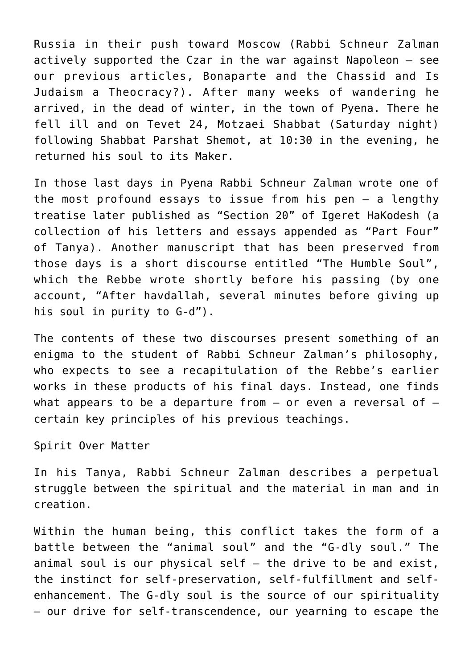Russia in their push toward Moscow (Rabbi Schneur Zalman actively supported the Czar in the war against Napoleon — see our previous articles, Bonaparte and the Chassid and Is Judaism a Theocracy?). After many weeks of wandering he arrived, in the dead of winter, in the town of Pyena. There he fell ill and on Tevet 24, Motzaei Shabbat (Saturday night) following Shabbat Parshat Shemot, at 10:30 in the evening, he returned his soul to its Maker.

In those last days in Pyena Rabbi Schneur Zalman wrote one of the most profound essays to issue from his pen — a lengthy treatise later published as "Section 20" of Igeret HaKodesh (a collection of his letters and essays appended as "Part Four" of Tanya). Another manuscript that has been preserved from those days is a short discourse entitled "The Humble Soul", which the Rebbe wrote shortly before his passing (by one account, "After havdallah, several minutes before giving up his soul in purity to G-d").

The contents of these two discourses present something of an enigma to the student of Rabbi Schneur Zalman's philosophy, who expects to see a recapitulation of the Rebbe's earlier works in these products of his final days. Instead, one finds what appears to be a departure from  $-$  or even a reversal of  $$ certain key principles of his previous teachings.

## Spirit Over Matter

In his Tanya, Rabbi Schneur Zalman describes a perpetual struggle between the spiritual and the material in man and in creation.

Within the human being, this conflict takes the form of a battle between the "animal soul" and the "G-dly soul." The animal soul is our physical self — the drive to be and exist, the instinct for self-preservation, self-fulfillment and selfenhancement. The G-dly soul is the source of our spirituality — our drive for self-transcendence, our yearning to escape the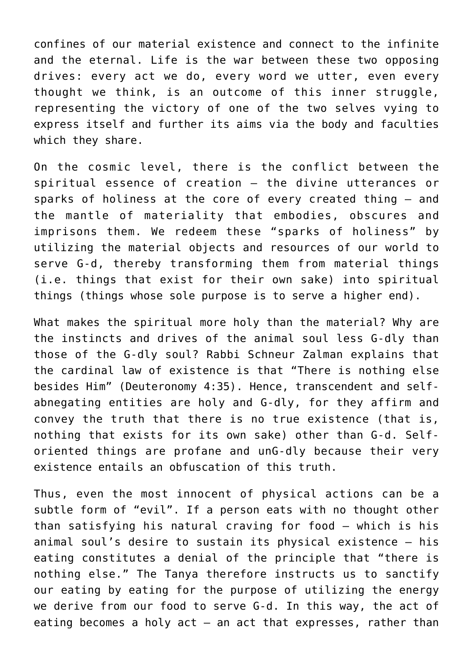confines of our material existence and connect to the infinite and the eternal. Life is the war between these two opposing drives: every act we do, every word we utter, even every thought we think, is an outcome of this inner struggle, representing the victory of one of the two selves vying to express itself and further its aims via the body and faculties which they share.

On the cosmic level, there is the conflict between the spiritual essence of creation — the divine utterances or sparks of holiness at the core of every created thing — and the mantle of materiality that embodies, obscures and imprisons them. We redeem these "sparks of holiness" by utilizing the material objects and resources of our world to serve G-d, thereby transforming them from material things (i.e. things that exist for their own sake) into spiritual things (things whose sole purpose is to serve a higher end).

What makes the spiritual more holy than the material? Why are the instincts and drives of the animal soul less G-dly than those of the G-dly soul? Rabbi Schneur Zalman explains that the cardinal law of existence is that "There is nothing else besides Him" (Deuteronomy 4:35). Hence, transcendent and selfabnegating entities are holy and G-dly, for they affirm and convey the truth that there is no true existence (that is, nothing that exists for its own sake) other than G-d. Selforiented things are profane and unG-dly because their very existence entails an obfuscation of this truth.

Thus, even the most innocent of physical actions can be a subtle form of "evil". If a person eats with no thought other than satisfying his natural craving for food — which is his animal soul's desire to sustain its physical existence — his eating constitutes a denial of the principle that "there is nothing else." The Tanya therefore instructs us to sanctify our eating by eating for the purpose of utilizing the energy we derive from our food to serve G-d. In this way, the act of eating becomes a holy  $act - an act that expresses, rather than$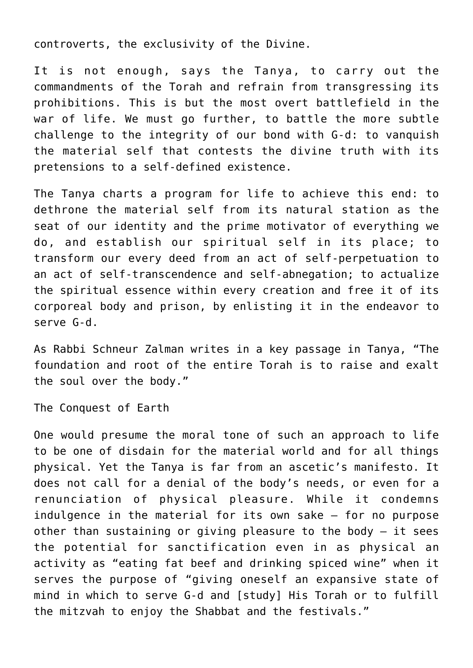controverts, the exclusivity of the Divine.

It is not enough, says the Tanya, to carry out the commandments of the Torah and refrain from transgressing its prohibitions. This is but the most overt battlefield in the war of life. We must go further, to battle the more subtle challenge to the integrity of our bond with G-d: to vanquish the material self that contests the divine truth with its pretensions to a self-defined existence.

The Tanya charts a program for life to achieve this end: to dethrone the material self from its natural station as the seat of our identity and the prime motivator of everything we do, and establish our spiritual self in its place; to transform our every deed from an act of self-perpetuation to an act of self-transcendence and self-abnegation; to actualize the spiritual essence within every creation and free it of its corporeal body and prison, by enlisting it in the endeavor to serve G-d.

As Rabbi Schneur Zalman writes in a key passage in Tanya, "The foundation and root of the entire Torah is to raise and exalt the soul over the body."

The Conquest of Earth

One would presume the moral tone of such an approach to life to be one of disdain for the material world and for all things physical. Yet the Tanya is far from an ascetic's manifesto. It does not call for a denial of the body's needs, or even for a renunciation of physical pleasure. While it condemns indulgence in the material for its own sake — for no purpose other than sustaining or giving pleasure to the body — it sees the potential for sanctification even in as physical an activity as "eating fat beef and drinking spiced wine" when it serves the purpose of "giving oneself an expansive state of mind in which to serve G-d and [study] His Torah or to fulfill the mitzvah to enjoy the Shabbat and the festivals."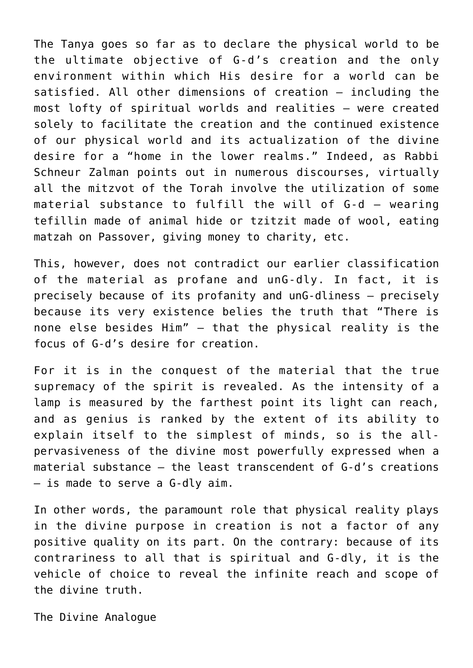The Tanya goes so far as to declare the physical world to be the ultimate objective of G-d's creation and the only environment within which His desire for a world can be satisfied. All other dimensions of creation — including the most lofty of spiritual worlds and realities — were created solely to facilitate the creation and the continued existence of our physical world and its actualization of the divine desire for a "home in the lower realms." Indeed, as Rabbi Schneur Zalman points out in numerous discourses, virtually all the mitzvot of the Torah involve the utilization of some material substance to fulfill the will of G-d — wearing tefillin made of animal hide or tzitzit made of wool, eating matzah on Passover, giving money to charity, etc.

This, however, does not contradict our earlier classification of the material as profane and unG-dly. In fact, it is precisely because of its profanity and unG-dliness — precisely because its very existence belies the truth that "There is none else besides Him" — that the physical reality is the focus of G-d's desire for creation.

For it is in the conquest of the material that the true supremacy of the spirit is revealed. As the intensity of a lamp is measured by the farthest point its light can reach, and as genius is ranked by the extent of its ability to explain itself to the simplest of minds, so is the allpervasiveness of the divine most powerfully expressed when a material substance — the least transcendent of G-d's creations — is made to serve a G-dly aim.

In other words, the paramount role that physical reality plays in the divine purpose in creation is not a factor of any positive quality on its part. On the contrary: because of its contrariness to all that is spiritual and G-dly, it is the vehicle of choice to reveal the infinite reach and scope of the divine truth.

The Divine Analogue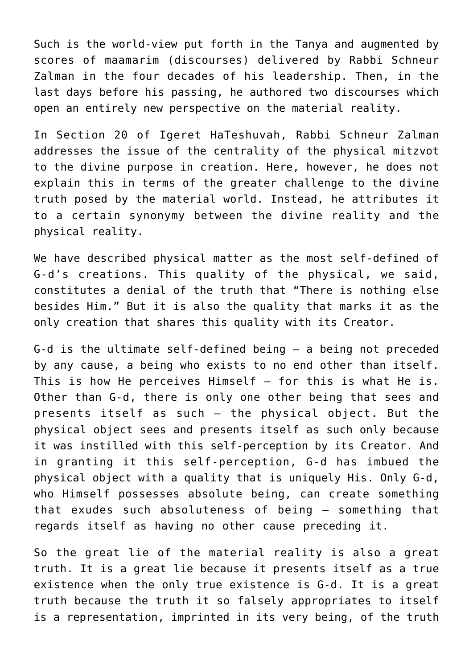Such is the world-view put forth in the Tanya and augmented by scores of maamarim (discourses) delivered by Rabbi Schneur Zalman in the four decades of his leadership. Then, in the last days before his passing, he authored two discourses which open an entirely new perspective on the material reality.

In Section 20 of Igeret HaTeshuvah, Rabbi Schneur Zalman addresses the issue of the centrality of the physical mitzvot to the divine purpose in creation. Here, however, he does not explain this in terms of the greater challenge to the divine truth posed by the material world. Instead, he attributes it to a certain synonymy between the divine reality and the physical reality.

We have described physical matter as the most self-defined of G-d's creations. This quality of the physical, we said, constitutes a denial of the truth that "There is nothing else besides Him." But it is also the quality that marks it as the only creation that shares this quality with its Creator.

G-d is the ultimate self-defined being — a being not preceded by any cause, a being who exists to no end other than itself. This is how He perceives Himself — for this is what He is. Other than G-d, there is only one other being that sees and presents itself as such — the physical object. But the physical object sees and presents itself as such only because it was instilled with this self-perception by its Creator. And in granting it this self-perception, G-d has imbued the physical object with a quality that is uniquely His. Only G-d, who Himself possesses absolute being, can create something that exudes such absoluteness of being — something that regards itself as having no other cause preceding it.

So the great lie of the material reality is also a great truth. It is a great lie because it presents itself as a true existence when the only true existence is G-d. It is a great truth because the truth it so falsely appropriates to itself is a representation, imprinted in its very being, of the truth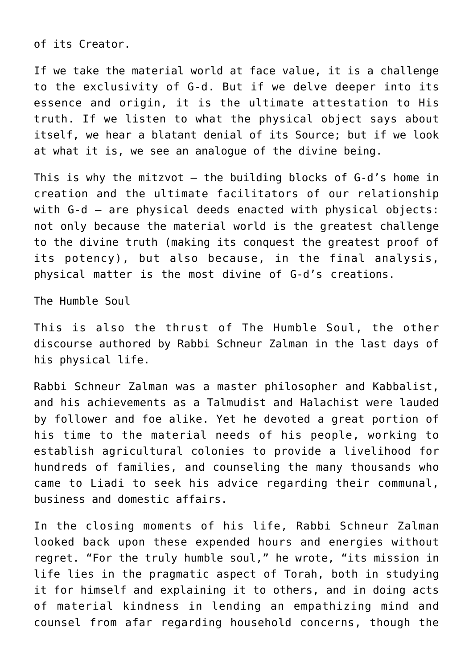of its Creator.

If we take the material world at face value, it is a challenge to the exclusivity of G-d. But if we delve deeper into its essence and origin, it is the ultimate attestation to His truth. If we listen to what the physical object says about itself, we hear a blatant denial of its Source; but if we look at what it is, we see an analogue of the divine being.

This is why the mitzvot — the building blocks of G-d's home in creation and the ultimate facilitators of our relationship with G-d - are physical deeds enacted with physical objects: not only because the material world is the greatest challenge to the divine truth (making its conquest the greatest proof of its potency), but also because, in the final analysis, physical matter is the most divine of G-d's creations.

The Humble Soul

This is also the thrust of The Humble Soul, the other discourse authored by Rabbi Schneur Zalman in the last days of his physical life.

Rabbi Schneur Zalman was a master philosopher and Kabbalist, and his achievements as a Talmudist and Halachist were lauded by follower and foe alike. Yet he devoted a great portion of his time to the material needs of his people, working to establish agricultural colonies to provide a livelihood for hundreds of families, and counseling the many thousands who came to Liadi to seek his advice regarding their communal, business and domestic affairs.

In the closing moments of his life, Rabbi Schneur Zalman looked back upon these expended hours and energies without regret. "For the truly humble soul," he wrote, "its mission in life lies in the pragmatic aspect of Torah, both in studying it for himself and explaining it to others, and in doing acts of material kindness in lending an empathizing mind and counsel from afar regarding household concerns, though the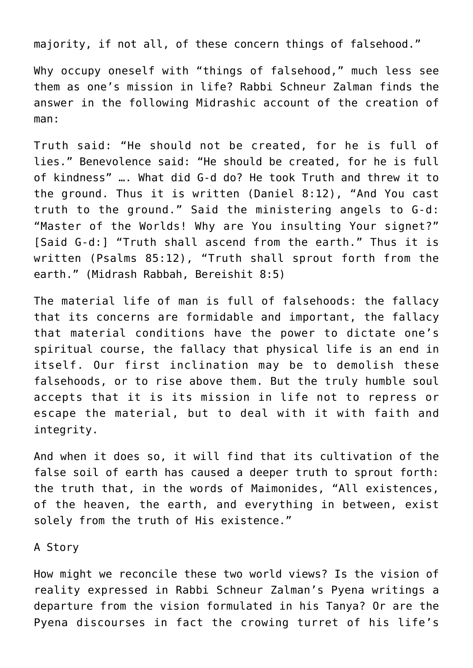majority, if not all, of these concern things of falsehood."

Why occupy oneself with "things of falsehood," much less see them as one's mission in life? Rabbi Schneur Zalman finds the answer in the following Midrashic account of the creation of man:

Truth said: "He should not be created, for he is full of lies." Benevolence said: "He should be created, for he is full of kindness" …. What did G-d do? He took Truth and threw it to the ground. Thus it is written (Daniel 8:12), "And You cast truth to the ground." Said the ministering angels to G-d: "Master of the Worlds! Why are You insulting Your signet?" [Said G-d:] "Truth shall ascend from the earth." Thus it is written (Psalms 85:12), "Truth shall sprout forth from the earth." (Midrash Rabbah, Bereishit 8:5)

The material life of man is full of falsehoods: the fallacy that its concerns are formidable and important, the fallacy that material conditions have the power to dictate one's spiritual course, the fallacy that physical life is an end in itself. Our first inclination may be to demolish these falsehoods, or to rise above them. But the truly humble soul accepts that it is its mission in life not to repress or escape the material, but to deal with it with faith and integrity.

And when it does so, it will find that its cultivation of the false soil of earth has caused a deeper truth to sprout forth: the truth that, in the words of Maimonides, "All existences, of the heaven, the earth, and everything in between, exist solely from the truth of His existence."

A Story

How might we reconcile these two world views? Is the vision of reality expressed in Rabbi Schneur Zalman's Pyena writings a departure from the vision formulated in his Tanya? Or are the Pyena discourses in fact the crowing turret of his life's